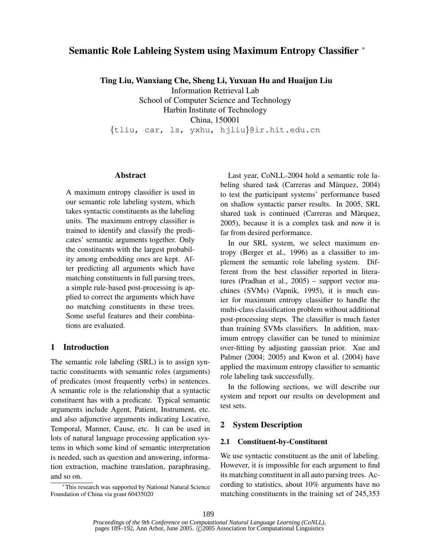# **Semantic Role Lableing System using Maximum Entropy Classifier** <sup>∗</sup>

**Ting Liu, Wanxiang Che, Sheng Li, Yuxuan Hu and Huaijun Liu**

Information Retrieval Lab School of Computer Science and Technology

Harbin Institute of Technology China, 150001

{tliu, car, ls, yxhu, hjliu}@ir.hit.edu.cn

# **Abstract**

A maximum entropy classifier is used in our semantic role labeling system, which takes syntactic constituents as the labeling units. The maximum entropy classifier is trained to identify and classify the predicates' semantic arguments together. Only the constituents with the largest probability among embedding ones are kept. After predicting all arguments which have matching constituents in full parsing trees, a simple rule-based post-processing is applied to correct the arguments which have no matching constituents in these trees. Some useful features and their combinations are evaluated.

# **1 Introduction**

The semantic role labeling (SRL) is to assign syntactic constituents with semantic roles (arguments) of predicates (most frequently verbs) in sentences. A semantic role is the relationship that a syntactic constituent has with a predicate. Typical semantic arguments include Agent, Patient, Instrument, etc. and also adjunctive arguments indicating Locative, Temporal, Manner, Cause, etc. It can be used in lots of natural language processing application systems in which some kind of semantic interpretation is needed, such as question and answering, information extraction, machine translation, paraphrasing, and so on.

<sup>∗</sup>This research was supported by National Natural Science Foundation of China via grant 60435020

Last year, CoNLL-2004 hold a semantic role labeling shared task (Carreras and Màrquez, 2004) to test the participant systems' performance based on shallow syntactic parser results. In 2005, SRL shared task is continued (Carreras and Màrquez, 2005), because it is a complex task and now it is far from desired performance.

In our SRL system, we select maximum entropy (Berger et al., 1996) as a classifier to implement the semantic role labeling system. Different from the best classifier reported in literatures (Pradhan et al., 2005) – support vector machines (SVMs) (Vapnik, 1995), it is much easier for maximum entropy classifier to handle the multi-class classification problem without additional post-processing steps. The classifier is much faster than training SVMs classifiers. In addition, maximum entropy classifier can be tuned to minimize over-fitting by adjusting gaussian prior. Xue and Palmer (2004; 2005) and Kwon et al. (2004) have applied the maximum entropy classifier to semantic role labeling task successfully.

In the following sections, we will describe our system and report our results on development and test sets.

# **2 System Description**

# **2.1 Constituent-by-Constituent**

We use syntactic constituent as the unit of labeling. However, it is impossible for each argument to find its matching constituent in all auto parsing trees. According to statistics, about 10% arguments have no matching constituents in the training set of 245,353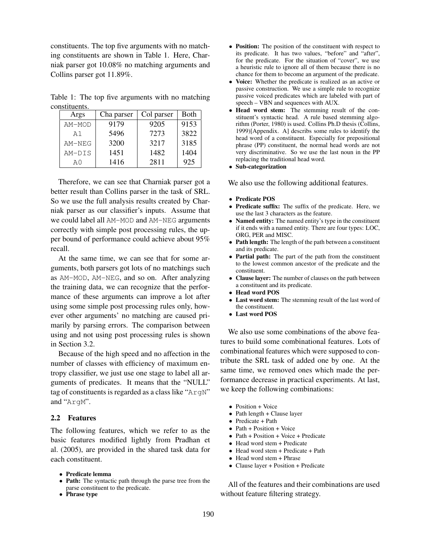constituents. The top five arguments with no matching constituents are shown in Table 1. Here, Charniak parser got 10.08% no matching arguments and Collins parser got 11.89%.

Table 1: The top five arguments with no matching constituents.

| Args           | Cha parser | Col parser | <b>Both</b> |
|----------------|------------|------------|-------------|
| AM-MOD         | 9179       | 9205       | 9153        |
| A1             | 5496       | 7273       | 3822        |
| $AM-NEG$       | 3200       | 3217       | 3185        |
| AM-DIS         | 1451       | 1482       | 1404        |
| A <sub>0</sub> | 1416       | 2811       | 925         |

Therefore, we can see that Charniak parser got a better result than Collins parser in the task of SRL. So we use the full analysis results created by Charniak parser as our classifier's inputs. Assume that we could label all AM-MOD and AM-NEG arguments correctly with simple post processing rules, the upper bound of performance could achieve about 95% recall.

At the same time, we can see that for some arguments, both parsers got lots of no matchings such as AM-MOD, AM-NEG, and so on. After analyzing the training data, we can recognize that the performance of these arguments can improve a lot after using some simple post processing rules only, however other arguments' no matching are caused primarily by parsing errors. The comparison between using and not using post processing rules is shown in Section 3.2.

Because of the high speed and no affection in the number of classes with efficiency of maximum entropy classifier, we just use one stage to label all arguments of predicates. It means that the "NULL" tag of constituents is regarded as a class like "ArgN" and "ArgM".

### **2.2 Features**

The following features, which we refer to as the basic features modified lightly from Pradhan et al. (2005), are provided in the shared task data for each constituent.

- **Predicate lemma**
- **Path:** The syntactic path through the parse tree from the parse constituent to the predicate.
- **Phrase type**
- **Position:** The position of the constituent with respect to its predicate. It has two values, "before" and "after", for the predicate. For the situation of "cover", we use a heuristic rule to ignore all of them because there is no chance for them to become an argument of the predicate.
- **Voice:** Whether the predicate is realized as an active or passive construction. We use a simple rule to recognize passive voiced predicates which are labeled with part of speech – VBN and sequences with AUX.
- **Head word stem:** The stemming result of the constituent's syntactic head. A rule based stemming algorithm (Porter, 1980) is used. Collins Ph.D thesis (Collins, 1999)[Appendix. A] describs some rules to identify the head word of a constituent. Especially for prepositional phrase (PP) constituent, the normal head words are not very discriminative. So we use the last noun in the PP replacing the traditional head word.
- **Sub-categorization**

We also use the following additional features.

- **Predicate POS**
- **Predicate suffix:** The suffix of the predicate. Here, we use the last 3 characters as the feature.
- **Named entity:** The named entity's type in the constituent if it ends with a named entity. There are four types: LOC, ORG, PER and MISC.
- **Path length:** The length of the path between a constituent and its predicate.
- **Partial path:** The part of the path from the constituent to the lowest common ancestor of the predicate and the constituent.
- **Clause layer:** The number of clauses on the path between a constituent and its predicate.
- **Head word POS**
- **Last word stem:** The stemming result of the last word of the constituent.
- **Last word POS**

We also use some combinations of the above features to build some combinational features. Lots of combinational features which were supposed to contribute the SRL task of added one by one. At the same time, we removed ones which made the performance decrease in practical experiments. At last, we keep the following combinations:

- Position + Voice
- Path length + Clause layer
- Predicate + Path
- Path + Position + Voice
- Path + Position + Voice + Predicate
- Head word stem + Predicate
- Head word stem + Predicate + Path
- Head word stem + Phrase
- Clause layer + Position + Predicate

All of the features and their combinations are used without feature filtering strategy.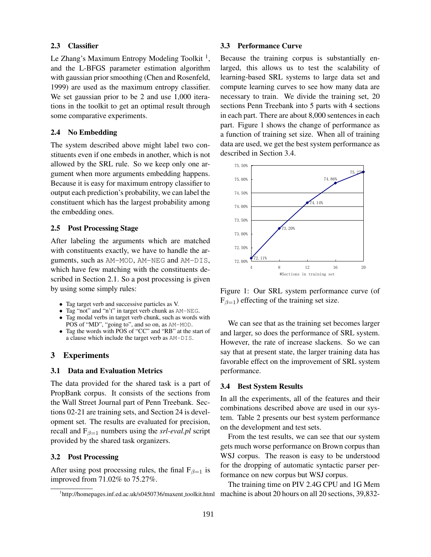#### **2.3 Classifier**

Le Zhang's Maximum Entropy Modeling Toolkit<sup>1</sup>, and the L-BFGS parameter estimation algorithm with gaussian prior smoothing (Chen and Rosenfeld, 1999) are used as the maximum entropy classifier. We set gaussian prior to be 2 and use 1,000 iterations in the toolkit to get an optimal result through some comparative experiments.

## **2.4 No Embedding**

The system described above might label two constituents even if one embeds in another, which is not allowed by the SRL rule. So we keep only one argument when more arguments embedding happens. Because it is easy for maximum entropy classifier to output each prediction's probability, we can label the constituent which has the largest probability among the embedding ones.

#### **2.5 Post Processing Stage**

After labeling the arguments which are matched with constituents exactly, we have to handle the arguments, such as AM-MOD, AM-NEG and AM-DIS, which have few matching with the constituents described in Section 2.1. So a post processing is given by using some simply rules:

- Tag target verb and successive particles as V.
- Tag "not" and "n't" in target verb chunk as AM-NEG.
- Tag modal verbs in target verb chunk, such as words with POS of "MD", "going to", and so on, as AM-MOD.
- Tag the words with POS of "CC" and "RB" at the start of a clause which include the target verb as AM-DIS.

# **3 Experiments**

#### **3.1 Data and Evaluation Metrics**

The data provided for the shared task is a part of PropBank corpus. It consists of the sections from the Wall Street Journal part of Penn Treebank. Sections 02-21 are training sets, and Section 24 is development set. The results are evaluated for precision, recall and  $F_{\beta=1}$  numbers using the *srl-eval.pl* script provided by the shared task organizers.

#### **3.2 Post Processing**

After using post processing rules, the final  $F_{\beta=1}$  is improved from 71.02% to 75.27%.

#### **3.3 Performance Curve**

Because the training corpus is substantially enlarged, this allows us to test the scalability of learning-based SRL systems to large data set and compute learning curves to see how many data are necessary to train. We divide the training set, 20 sections Penn Treebank into 5 parts with 4 sections in each part. There are about 8,000 sentences in each part. Figure 1 shows the change of performance as a function of training set size. When all of training data are used, we get the best system performance as described in Section 3.4.



Figure 1: Our SRL system performance curve (of  $F_{\beta=1}$ ) effecting of the training set size.

We can see that as the training set becomes larger and larger, so does the performance of SRL system. However, the rate of increase slackens. So we can say that at present state, the larger training data has favorable effect on the improvement of SRL system performance.

#### **3.4 Best System Results**

In all the experiments, all of the features and their combinations described above are used in our system. Table 2 presents our best system performance on the development and test sets.

From the test results, we can see that our system gets much worse performance on Brown corpus than WSJ corpus. The reason is easy to be understood for the dropping of automatic syntactic parser performance on new corpus but WSJ corpus.

The training time on PIV 2.4G CPU and 1G Mem machine is about 20 hours on all 20 sections, 39,832-

<sup>&</sup>lt;sup>1</sup>http://homepages.inf.ed.ac.uk/s0450736/maxent\_toolkit.html